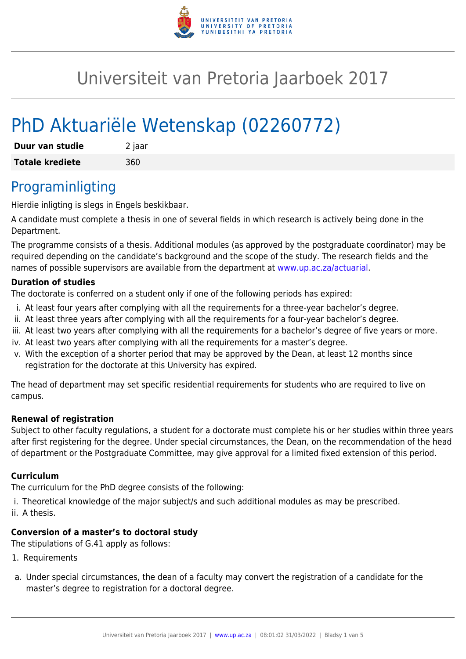

# Universiteit van Pretoria Jaarboek 2017

# PhD Aktuariële Wetenskap (02260772)

| Duur van studie        | 2 jaar |
|------------------------|--------|
| <b>Totale krediete</b> | 360    |

### Programinligting

Hierdie inligting is slegs in Engels beskikbaar.

A candidate must complete a thesis in one of several fields in which research is actively being done in the Department.

The programme consists of a thesis. Additional modules (as approved by the postgraduate coordinator) may be required depending on the candidate's background and the scope of the study. The research fields and the names of possible supervisors are available from the department at [www.up.ac.za/actuarial](http://www.up.ac.za/actuarial).

#### **Duration of studies**

The doctorate is conferred on a student only if one of the following periods has expired:

- i. At least four years after complying with all the requirements for a three-year bachelor's degree.
- ii. At least three years after complying with all the requirements for a four-year bachelor's degree.
- iii. At least two years after complying with all the requirements for a bachelor's degree of five years or more.
- iv. At least two years after complying with all the requirements for a master's degree.
- v. With the exception of a shorter period that may be approved by the Dean, at least 12 months since registration for the doctorate at this University has expired.

The head of department may set specific residential requirements for students who are required to live on campus.

#### **Renewal of registration**

Subject to other faculty regulations, a student for a doctorate must complete his or her studies within three years after first registering for the degree. Under special circumstances, the Dean, on the recommendation of the head of department or the Postgraduate Committee, may give approval for a limited fixed extension of this period.

#### **Curriculum**

The curriculum for the PhD degree consists of the following:

- i. Theoretical knowledge of the major subject/s and such additional modules as may be prescribed.
- ii. A thesis.

#### **Conversion of a master's to doctoral study**

The stipulations of G.41 apply as follows:

- 1. Requirements
- a. Under special circumstances, the dean of a faculty may convert the registration of a candidate for the master's degree to registration for a doctoral degree.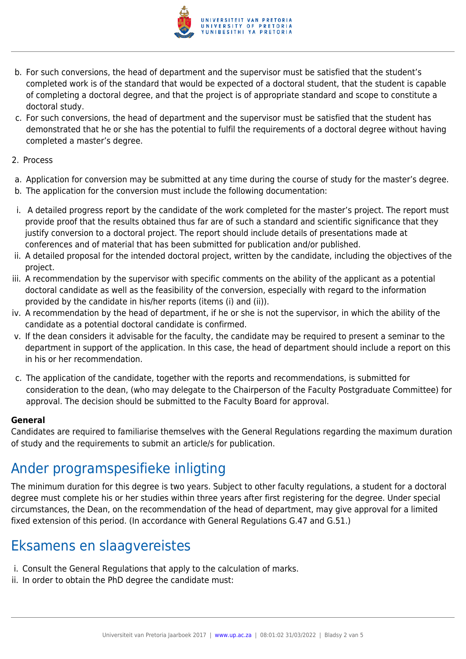

- b. For such conversions, the head of department and the supervisor must be satisfied that the student's completed work is of the standard that would be expected of a doctoral student, that the student is capable of completing a doctoral degree, and that the project is of appropriate standard and scope to constitute a doctoral study.
- c. For such conversions, the head of department and the supervisor must be satisfied that the student has demonstrated that he or she has the potential to fulfil the requirements of a doctoral degree without having completed a master's degree.
- 2. Process
- a. Application for conversion may be submitted at any time during the course of study for the master's degree.
- b. The application for the conversion must include the following documentation:
- i. A detailed progress report by the candidate of the work completed for the master's project. The report must provide proof that the results obtained thus far are of such a standard and scientific significance that they justify conversion to a doctoral project. The report should include details of presentations made at conferences and of material that has been submitted for publication and/or published.
- ii. A detailed proposal for the intended doctoral project, written by the candidate, including the objectives of the project.
- iii. A recommendation by the supervisor with specific comments on the ability of the applicant as a potential doctoral candidate as well as the feasibility of the conversion, especially with regard to the information provided by the candidate in his/her reports (items (i) and (ii)).
- iv. A recommendation by the head of department, if he or she is not the supervisor, in which the ability of the candidate as a potential doctoral candidate is confirmed.
- v. If the dean considers it advisable for the faculty, the candidate may be required to present a seminar to the department in support of the application. In this case, the head of department should include a report on this in his or her recommendation.
- c. The application of the candidate, together with the reports and recommendations, is submitted for consideration to the dean, (who may delegate to the Chairperson of the Faculty Postgraduate Committee) for approval. The decision should be submitted to the Faculty Board for approval.

#### **General**

Candidates are required to familiarise themselves with the General Regulations regarding the maximum duration of study and the requirements to submit an article/s for publication.

## Ander programspesifieke inligting

The minimum duration for this degree is two years. Subject to other faculty regulations, a student for a doctoral degree must complete his or her studies within three years after first registering for the degree. Under special circumstances, the Dean, on the recommendation of the head of department, may give approval for a limited fixed extension of this period. (In accordance with General Regulations G.47 and G.51.)

## Eksamens en slaagvereistes

- i. Consult the General Regulations that apply to the calculation of marks.
- ii. In order to obtain the PhD degree the candidate must: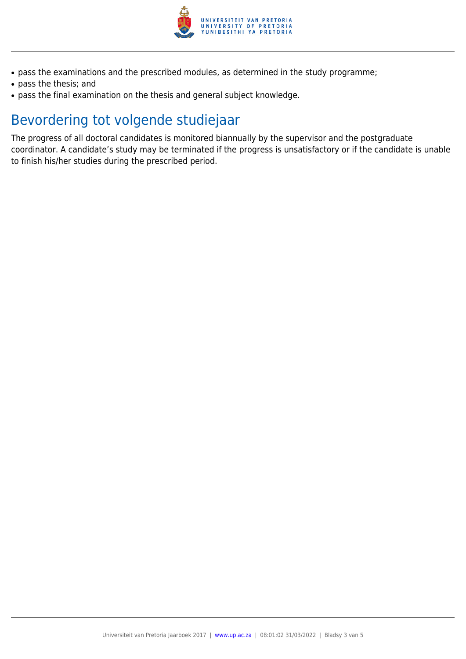

- pass the examinations and the prescribed modules, as determined in the study programme;
- pass the thesis; and
- pass the final examination on the thesis and general subject knowledge.

## Bevordering tot volgende studiejaar

The progress of all doctoral candidates is monitored biannually by the supervisor and the postgraduate coordinator. A candidate's study may be terminated if the progress is unsatisfactory or if the candidate is unable to finish his/her studies during the prescribed period.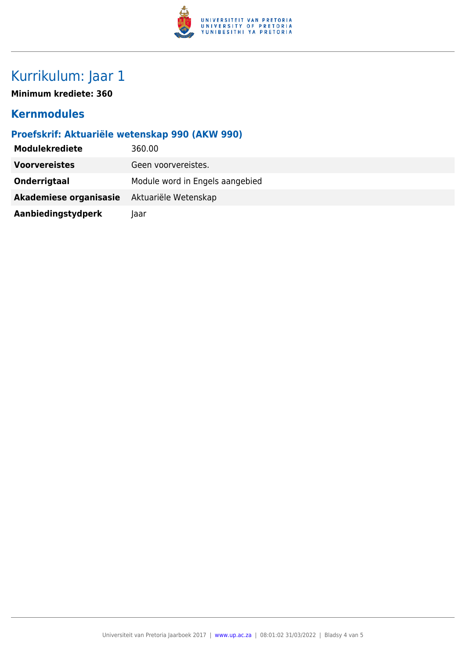

# Kurrikulum: Jaar 1

**Minimum krediete: 360**

### **Kernmodules**

### **Proefskrif: Aktuariële wetenskap 990 (AKW 990)**

| <b>Modulekrediete</b>  | 360.00                          |
|------------------------|---------------------------------|
| <b>Voorvereistes</b>   | Geen voorvereistes.             |
| Onderrigtaal           | Module word in Engels aangebied |
| Akademiese organisasie | Aktuariële Wetenskap            |
| Aanbiedingstydperk     | laar                            |